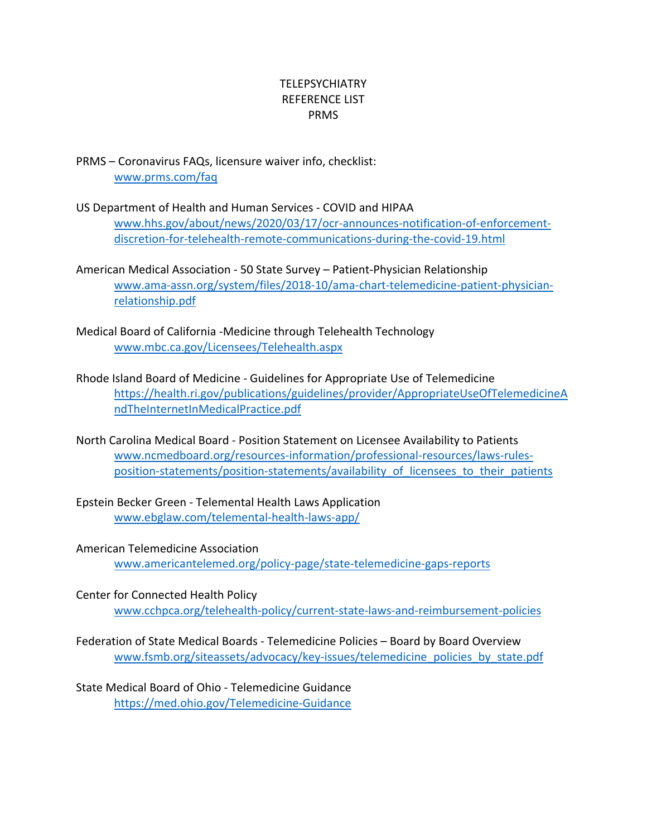## **TELEPSYCHIATRY** REFERENCE LIST PRMS

PRMS – Coronavirus FAQs, licensure waiver info, checklist: [www.prms.com/faq](http://www.prms.com/faq)

- US Department of Health and Human Services COVID and HIPAA [www.hhs.gov/about/news/2020/03/17/ocr-announces-notification-of-enforcement](http://www.hhs.gov/about/news/2020/03/17/ocr-announces-notification-of-enforcement-discretion-for-telehealth-remote-communications-during-the-covid-19.html)[discretion-for-telehealth-remote-communications-during-the-covid-19.html](http://www.hhs.gov/about/news/2020/03/17/ocr-announces-notification-of-enforcement-discretion-for-telehealth-remote-communications-during-the-covid-19.html)
- American Medical Association 50 State Survey Patient-Physician Relationship [www.ama-assn.org/system/files/2018-10/ama-chart-telemedicine-patient-physician](http://www.ama-assn.org/system/files/2018-10/ama-chart-telemedicine-patient-physician-relationship.pdf)[relationship.pdf](http://www.ama-assn.org/system/files/2018-10/ama-chart-telemedicine-patient-physician-relationship.pdf)
- Medical Board of California -Medicine through Telehealth Technology [www.mbc.ca.gov/Licensees/Telehealth.aspx](http://www.mbc.ca.gov/Licensees/Telehealth.aspx)
- Rhode Island Board of Medicine Guidelines for Appropriate Use of Telemedicine [https://health.ri.gov/publications/guidelines/provider/AppropriateUseOfTelemedicineA](https://health.ri.gov/publications/guidelines/provider/AppropriateUseOfTelemedicineAndTheInternetInMedicalPractice.pdf) [ndTheInternetInMedicalPractice.pdf](https://health.ri.gov/publications/guidelines/provider/AppropriateUseOfTelemedicineAndTheInternetInMedicalPractice.pdf)
- North Carolina Medical Board Position Statement on Licensee Availability to Patients [www.ncmedboard.org/resources-information/professional-resources/laws-rules](http://www.ncmedboard.org/resources-information/professional-resources/laws-rules-position-statements/position-statements/availability_of_licensees_to_their_patients)position-statements/position-statements/availability of licensees to their patients
- Epstein Becker Green Telemental Health Laws Application [www.ebglaw.com/telemental-health-laws-app/](http://www.ebglaw.com/telemental-health-laws-app/)
- American Telemedicine Association [www.americantelemed.org/policy-page/state-telemedicine-gaps-reports](http://www.americantelemed.org/policy-page/state-telemedicine-gaps-reports)
- Center for Connected Health Policy [www.cchpca.org/telehealth-policy/current-state-laws-and-reimbursement-policies](http://www.cchpca.org/telehealth-policy/current-state-laws-and-reimbursement-policies)
- Federation of State Medical Boards Telemedicine Policies Board by Board Overview [www.fsmb.org/siteassets/advocacy/key-issues/telemedicine\\_policies\\_by\\_state.pdf](http://www.fsmb.org/siteassets/advocacy/key-issues/telemedicine_policies_by_state.pdf)

State Medical Board of Ohio - Telemedicine Guidance <https://med.ohio.gov/Telemedicine-Guidance>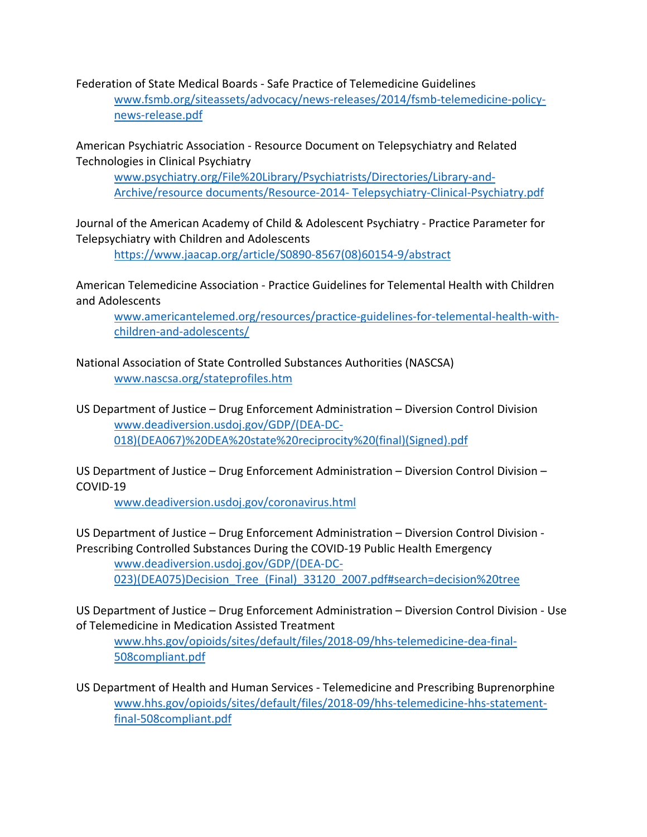Federation of State Medical Boards - Safe Practice of Telemedicine Guidelines

[www.fsmb.org/siteassets/advocacy/news-releases/2014/fsmb-telemedicine-policy](http://www.fsmb.org/siteassets/advocacy/news-releases/2014/fsmb-telemedicine-policy-news-release.pdf)[news-release.pdf](http://www.fsmb.org/siteassets/advocacy/news-releases/2014/fsmb-telemedicine-policy-news-release.pdf)

American Psychiatric Association - Resource Document on Telepsychiatry and Related Technologies in Clinical Psychiatry

[www.psychiatry.org/File%20Library/Psychiatrists/Directories/Library-and-](http://www.psychiatry.org/File%20Library/Psychiatrists/Directories/Library-and-Archive/resource%20documents/Resource-2014-%20Telepsychiatry-Clinical-Psychiatry.pdf)[Archive/resource documents/Resource-2014-](http://www.psychiatry.org/File%20Library/Psychiatrists/Directories/Library-and-Archive/resource%20documents/Resource-2014-%20Telepsychiatry-Clinical-Psychiatry.pdf) Telepsychiatry-Clinical-Psychiatry.pdf

Journal of the American Academy of Child & Adolescent Psychiatry - Practice Parameter for Telepsychiatry with Children and Adolescents

[https://www.jaacap.org/article/S0890-8567\(08\)60154-9/abstract](https://www.jaacap.org/article/S0890-8567(08)60154-9/abstract)

American Telemedicine Association - Practice Guidelines for Telemental Health with Children and Adolescents

[www.americantelemed.org/resources/practice-guidelines-for-telemental-health-with](http://www.americantelemed.org/resources/practice-guidelines-for-telemental-health-with-children-and-adolescents/)[children-and-adolescents/](http://www.americantelemed.org/resources/practice-guidelines-for-telemental-health-with-children-and-adolescents/)

National Association of State Controlled Substances Authorities (NASCSA) [www.nascsa.org/stateprofiles.htm](http://www.nascsa.org/stateprofiles.htm)

US Department of Justice – Drug Enforcement Administration – Diversion Control Division [www.deadiversion.usdoj.gov/GDP/\(DEA-DC-](http://www.deadiversion.usdoj.gov/GDP/(DEA-DC-018)(DEA067)%20DEA%20state%20reciprocity%20(final)(Signed).pdf)[018\)\(DEA067\)%20DEA%20state%20reciprocity%20\(final\)\(Signed\).pdf](http://www.deadiversion.usdoj.gov/GDP/(DEA-DC-018)(DEA067)%20DEA%20state%20reciprocity%20(final)(Signed).pdf)

US Department of Justice – Drug Enforcement Administration – Diversion Control Division – COVID-19

[www.deadiversion.usdoj.gov/coronavirus.html](http://www.deadiversion.usdoj.gov/coronavirus.html)

US Department of Justice – Drug Enforcement Administration – Diversion Control Division - Prescribing Controlled Substances During the COVID-19 Public Health Emergency [www.deadiversion.usdoj.gov/GDP/\(DEA-DC-](http://www.deadiversion.usdoj.gov/GDP/(DEA-DC-023)(DEA075)Decision_Tree_(Final)_33120_2007.pdf#search=decision%20tree)023)(DEA075)Decision Tree (Final) 33120 2007.pdf#search=decision%20tree

US Department of Justice – Drug Enforcement Administration – Diversion Control Division - Use of Telemedicine in Medication Assisted Treatment

[www.hhs.gov/opioids/sites/default/files/2018-09/hhs-telemedicine-dea-final-](http://www.hhs.gov/opioids/sites/default/files/2018-09/hhs-telemedicine-dea-final-508compliant.pdf)[508compliant.pdf](http://www.hhs.gov/opioids/sites/default/files/2018-09/hhs-telemedicine-dea-final-508compliant.pdf)

US Department of Health and Human Services - Telemedicine and Prescribing Buprenorphine [www.hhs.gov/opioids/sites/default/files/2018-09/hhs-telemedicine-hhs-statement](http://www.hhs.gov/opioids/sites/default/files/2018-09/hhs-telemedicine-hhs-statement-final-508compliant.pdf)[final-508compliant.pdf](http://www.hhs.gov/opioids/sites/default/files/2018-09/hhs-telemedicine-hhs-statement-final-508compliant.pdf)